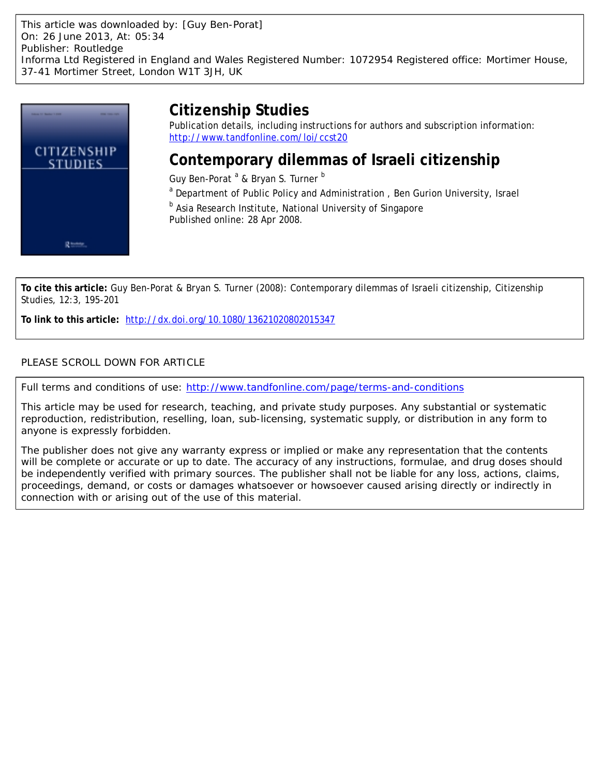This article was downloaded by: [Guy Ben-Porat] On: 26 June 2013, At: 05:34 Publisher: Routledge Informa Ltd Registered in England and Wales Registered Number: 1072954 Registered office: Mortimer House, 37-41 Mortimer Street, London W1T 3JH, UK



# **Citizenship Studies**

Publication details, including instructions for authors and subscription information: <http://www.tandfonline.com/loi/ccst20>

## **Contemporary dilemmas of Israeli citizenship**

Guy Ben-Porat<sup>a</sup> & Bryan S. Turner <sup>b</sup>

<sup>a</sup> Department of Public Policy and Administration, Ben Gurion University, Israel

<sup>b</sup> Asia Research Institute, National University of Singapore Published online: 28 Apr 2008.

**To cite this article:** Guy Ben-Porat & Bryan S. Turner (2008): Contemporary dilemmas of Israeli citizenship, Citizenship Studies, 12:3, 195-201

**To link to this article:** <http://dx.doi.org/10.1080/13621020802015347>

## PLEASE SCROLL DOWN FOR ARTICLE

Full terms and conditions of use:<http://www.tandfonline.com/page/terms-and-conditions>

This article may be used for research, teaching, and private study purposes. Any substantial or systematic reproduction, redistribution, reselling, loan, sub-licensing, systematic supply, or distribution in any form to anyone is expressly forbidden.

The publisher does not give any warranty express or implied or make any representation that the contents will be complete or accurate or up to date. The accuracy of any instructions, formulae, and drug doses should be independently verified with primary sources. The publisher shall not be liable for any loss, actions, claims, proceedings, demand, or costs or damages whatsoever or howsoever caused arising directly or indirectly in connection with or arising out of the use of this material.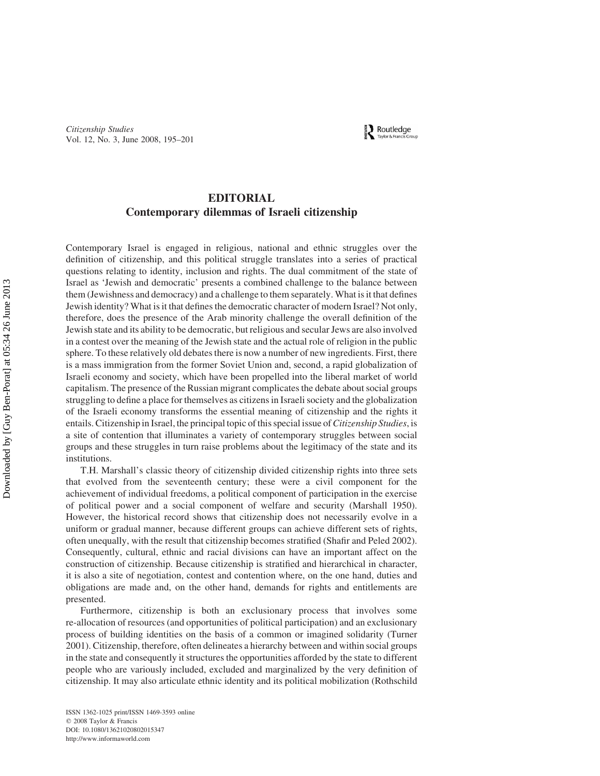Citizenship Studies Vol. 12, No. 3, June 2008, 195–201

### EDITORIAL Contemporary dilemmas of Israeli citizenship

Contemporary Israel is engaged in religious, national and ethnic struggles over the definition of citizenship, and this political struggle translates into a series of practical questions relating to identity, inclusion and rights. The dual commitment of the state of Israel as 'Jewish and democratic' presents a combined challenge to the balance between them (Jewishness and democracy) and a challenge to them separately. What is it that defines Jewish identity? What is it that defines the democratic character of modern Israel? Not only, therefore, does the presence of the Arab minority challenge the overall definition of the Jewish state and its ability to be democratic, but religious and secular Jews are also involved in a contest over the meaning of the Jewish state and the actual role of religion in the public sphere. To these relatively old debates there is now a number of new ingredients. First, there is a mass immigration from the former Soviet Union and, second, a rapid globalization of Israeli economy and society, which have been propelled into the liberal market of world capitalism. The presence of the Russian migrant complicates the debate about social groups struggling to define a place for themselves as citizens in Israeli society and the globalization of the Israeli economy transforms the essential meaning of citizenship and the rights it entails. Citizenship in Israel, the principal topic of this special issue of *Citizenship Studies*, is a site of contention that illuminates a variety of contemporary struggles between social groups and these struggles in turn raise problems about the legitimacy of the state and its institutions.

T.H. Marshall's classic theory of citizenship divided citizenship rights into three sets that evolved from the seventeenth century; these were a civil component for the achievement of individual freedoms, a political component of participation in the exercise of political power and a social component of welfare and security (Marshall 1950). However, the historical record shows that citizenship does not necessarily evolve in a uniform or gradual manner, because different groups can achieve different sets of rights, often unequally, with the result that citizenship becomes stratified (Shafir and Peled 2002). Consequently, cultural, ethnic and racial divisions can have an important affect on the construction of citizenship. Because citizenship is stratified and hierarchical in character, it is also a site of negotiation, contest and contention where, on the one hand, duties and obligations are made and, on the other hand, demands for rights and entitlements are presented.

Furthermore, citizenship is both an exclusionary process that involves some re-allocation of resources (and opportunities of political participation) and an exclusionary process of building identities on the basis of a common or imagined solidarity (Turner 2001). Citizenship, therefore, often delineates a hierarchy between and within social groups in the state and consequently it structures the opportunities afforded by the state to different people who are variously included, excluded and marginalized by the very definition of citizenship. It may also articulate ethnic identity and its political mobilization (Rothschild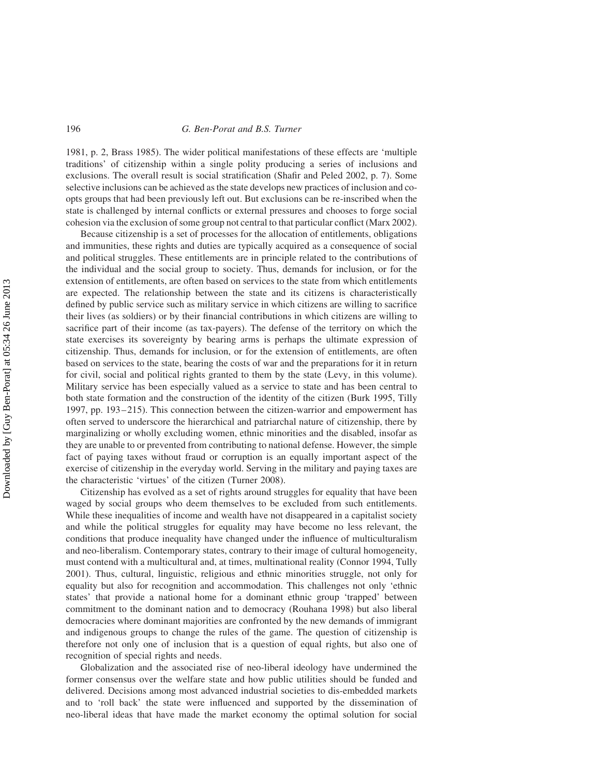#### 196 G. Ben-Porat and B.S. Turner

1981, p. 2, Brass 1985). The wider political manifestations of these effects are 'multiple traditions' of citizenship within a single polity producing a series of inclusions and exclusions. The overall result is social stratification (Shafir and Peled 2002, p. 7). Some selective inclusions can be achieved as the state develops new practices of inclusion and coopts groups that had been previously left out. But exclusions can be re-inscribed when the state is challenged by internal conflicts or external pressures and chooses to forge social cohesion via the exclusion of some group not central to that particular conflict (Marx 2002).

Because citizenship is a set of processes for the allocation of entitlements, obligations and immunities, these rights and duties are typically acquired as a consequence of social and political struggles. These entitlements are in principle related to the contributions of the individual and the social group to society. Thus, demands for inclusion, or for the extension of entitlements, are often based on services to the state from which entitlements are expected. The relationship between the state and its citizens is characteristically defined by public service such as military service in which citizens are willing to sacrifice their lives (as soldiers) or by their financial contributions in which citizens are willing to sacrifice part of their income (as tax-payers). The defense of the territory on which the state exercises its sovereignty by bearing arms is perhaps the ultimate expression of citizenship. Thus, demands for inclusion, or for the extension of entitlements, are often based on services to the state, bearing the costs of war and the preparations for it in return for civil, social and political rights granted to them by the state (Levy, in this volume). Military service has been especially valued as a service to state and has been central to both state formation and the construction of the identity of the citizen (Burk 1995, Tilly 1997, pp. 193 –215). This connection between the citizen-warrior and empowerment has often served to underscore the hierarchical and patriarchal nature of citizenship, there by marginalizing or wholly excluding women, ethnic minorities and the disabled, insofar as they are unable to or prevented from contributing to national defense. However, the simple fact of paying taxes without fraud or corruption is an equally important aspect of the exercise of citizenship in the everyday world. Serving in the military and paying taxes are the characteristic 'virtues' of the citizen (Turner 2008).

Citizenship has evolved as a set of rights around struggles for equality that have been waged by social groups who deem themselves to be excluded from such entitlements. While these inequalities of income and wealth have not disappeared in a capitalist society and while the political struggles for equality may have become no less relevant, the conditions that produce inequality have changed under the influence of multiculturalism and neo-liberalism. Contemporary states, contrary to their image of cultural homogeneity, must contend with a multicultural and, at times, multinational reality (Connor 1994, Tully 2001). Thus, cultural, linguistic, religious and ethnic minorities struggle, not only for equality but also for recognition and accommodation. This challenges not only 'ethnic states' that provide a national home for a dominant ethnic group 'trapped' between commitment to the dominant nation and to democracy (Rouhana 1998) but also liberal democracies where dominant majorities are confronted by the new demands of immigrant and indigenous groups to change the rules of the game. The question of citizenship is therefore not only one of inclusion that is a question of equal rights, but also one of recognition of special rights and needs.

Globalization and the associated rise of neo-liberal ideology have undermined the former consensus over the welfare state and how public utilities should be funded and delivered. Decisions among most advanced industrial societies to dis-embedded markets and to 'roll back' the state were influenced and supported by the dissemination of neo-liberal ideas that have made the market economy the optimal solution for social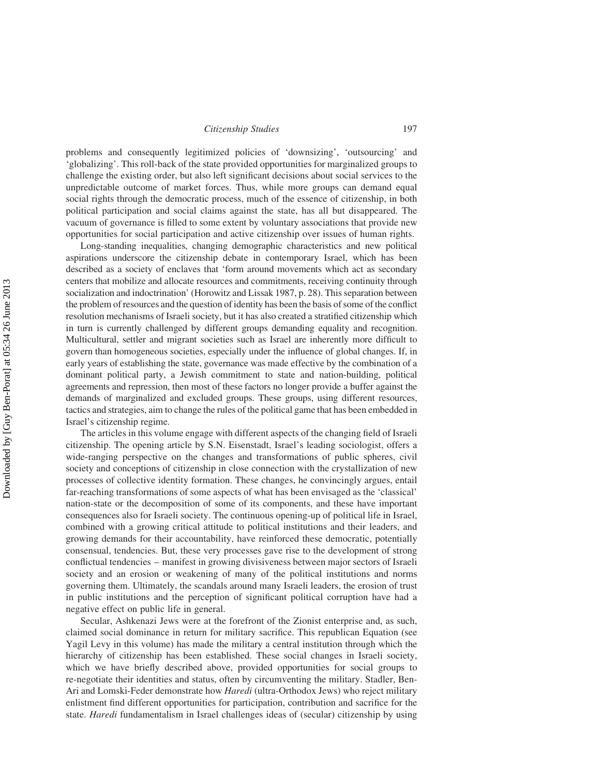problems and consequently legitimized policies of 'downsizing', 'outsourcing' and 'globalizing'. This roll-back of the state provided opportunities for marginalized groups to challenge the existing order, but also left significant decisions about social services to the unpredictable outcome of market forces. Thus, while more groups can demand equal social rights through the democratic process, much of the essence of citizenship, in both political participation and social claims against the state, has all but disappeared. The vacuum of governance is filled to some extent by voluntary associations that provide new opportunities for social participation and active citizenship over issues of human rights.

Long-standing inequalities, changing demographic characteristics and new political aspirations underscore the citizenship debate in contemporary Israel, which has been described as a society of enclaves that 'form around movements which act as secondary centers that mobilize and allocate resources and commitments, receiving continuity through socialization and indoctrination' (Horowitz and Lissak 1987, p. 28). This separation between the problem of resources and the question of identity has been the basis of some of the conflict resolution mechanisms of Israeli society, but it has also created a stratified citizenship which in turn is currently challenged by different groups demanding equality and recognition. Multicultural, settler and migrant societies such as Israel are inherently more difficult to govern than homogeneous societies, especially under the influence of global changes. If, in early years of establishing the state, governance was made effective by the combination of a dominant political party, a Jewish commitment to state and nation-building, political agreements and repression, then most of these factors no longer provide a buffer against the demands of marginalized and excluded groups. These groups, using different resources, tactics and strategies, aim to change the rules of the political game that has been embedded in Israel's citizenship regime.

The articles in this volume engage with different aspects of the changing field of Israeli citizenship. The opening article by S.N. Eisenstadt, Israel's leading sociologist, offers a wide-ranging perspective on the changes and transformations of public spheres, civil society and conceptions of citizenship in close connection with the crystallization of new processes of collective identity formation. These changes, he convincingly argues, entail far-reaching transformations of some aspects of what has been envisaged as the 'classical' nation-state or the decomposition of some of its components, and these have important consequences also for Israeli society. The continuous opening-up of political life in Israel, combined with a growing critical attitude to political institutions and their leaders, and growing demands for their accountability, have reinforced these democratic, potentially consensual, tendencies. But, these very processes gave rise to the development of strong conflictual tendencies – manifest in growing divisiveness between major sectors of Israeli society and an erosion or weakening of many of the political institutions and norms governing them. Ultimately, the scandals around many Israeli leaders, the erosion of trust in public institutions and the perception of significant political corruption have had a negative effect on public life in general.

Secular, Ashkenazi Jews were at the forefront of the Zionist enterprise and, as such, claimed social dominance in return for military sacrifice. This republican Equation (see Yagil Levy in this volume) has made the military a central institution through which the hierarchy of citizenship has been established. These social changes in Israeli society, which we have briefly described above, provided opportunities for social groups to re-negotiate their identities and status, often by circumventing the military. Stadler, Ben-Ari and Lomski-Feder demonstrate how *Haredi* (ultra-Orthodox Jews) who reject military enlistment find different opportunities for participation, contribution and sacrifice for the state. Haredi fundamentalism in Israel challenges ideas of (secular) citizenship by using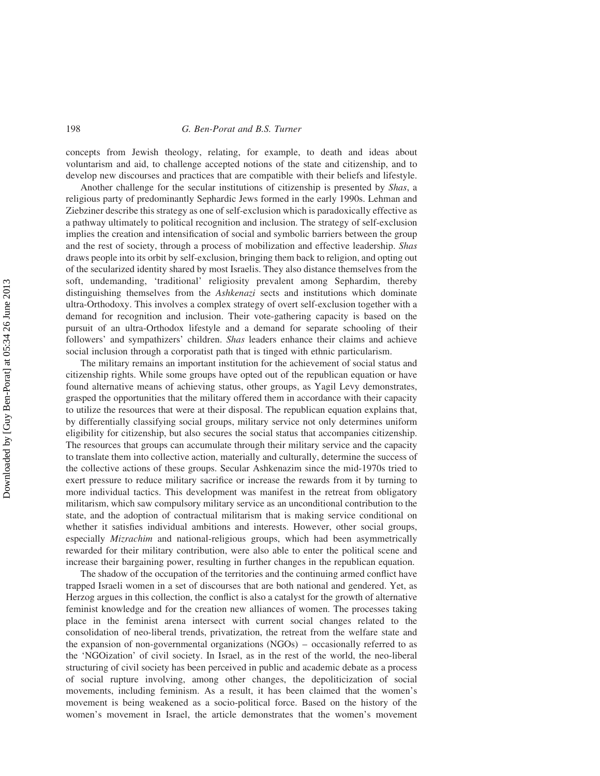#### 198 G. Ben-Porat and B.S. Turner

concepts from Jewish theology, relating, for example, to death and ideas about voluntarism and aid, to challenge accepted notions of the state and citizenship, and to develop new discourses and practices that are compatible with their beliefs and lifestyle.

Another challenge for the secular institutions of citizenship is presented by Shas, a religious party of predominantly Sephardic Jews formed in the early 1990s. Lehman and Ziebziner describe this strategy as one of self-exclusion which is paradoxically effective as a pathway ultimately to political recognition and inclusion. The strategy of self-exclusion implies the creation and intensification of social and symbolic barriers between the group and the rest of society, through a process of mobilization and effective leadership. Shas draws people into its orbit by self-exclusion, bringing them back to religion, and opting out of the secularized identity shared by most Israelis. They also distance themselves from the soft, undemanding, 'traditional' religiosity prevalent among Sephardim, thereby distinguishing themselves from the *Ashkenazi* sects and institutions which dominate ultra-Orthodoxy. This involves a complex strategy of overt self-exclusion together with a demand for recognition and inclusion. Their vote-gathering capacity is based on the pursuit of an ultra-Orthodox lifestyle and a demand for separate schooling of their followers' and sympathizers' children. Shas leaders enhance their claims and achieve social inclusion through a corporatist path that is tinged with ethnic particularism.

The military remains an important institution for the achievement of social status and citizenship rights. While some groups have opted out of the republican equation or have found alternative means of achieving status, other groups, as Yagil Levy demonstrates, grasped the opportunities that the military offered them in accordance with their capacity to utilize the resources that were at their disposal. The republican equation explains that, by differentially classifying social groups, military service not only determines uniform eligibility for citizenship, but also secures the social status that accompanies citizenship. The resources that groups can accumulate through their military service and the capacity to translate them into collective action, materially and culturally, determine the success of the collective actions of these groups. Secular Ashkenazim since the mid-1970s tried to exert pressure to reduce military sacrifice or increase the rewards from it by turning to more individual tactics. This development was manifest in the retreat from obligatory militarism, which saw compulsory military service as an unconditional contribution to the state, and the adoption of contractual militarism that is making service conditional on whether it satisfies individual ambitions and interests. However, other social groups, especially Mizrachim and national-religious groups, which had been asymmetrically rewarded for their military contribution, were also able to enter the political scene and increase their bargaining power, resulting in further changes in the republican equation.

The shadow of the occupation of the territories and the continuing armed conflict have trapped Israeli women in a set of discourses that are both national and gendered. Yet, as Herzog argues in this collection, the conflict is also a catalyst for the growth of alternative feminist knowledge and for the creation new alliances of women. The processes taking place in the feminist arena intersect with current social changes related to the consolidation of neo-liberal trends, privatization, the retreat from the welfare state and the expansion of non-governmental organizations (NGOs) – occasionally referred to as the 'NGOization' of civil society. In Israel, as in the rest of the world, the neo-liberal structuring of civil society has been perceived in public and academic debate as a process of social rupture involving, among other changes, the depoliticization of social movements, including feminism. As a result, it has been claimed that the women's movement is being weakened as a socio-political force. Based on the history of the women's movement in Israel, the article demonstrates that the women's movement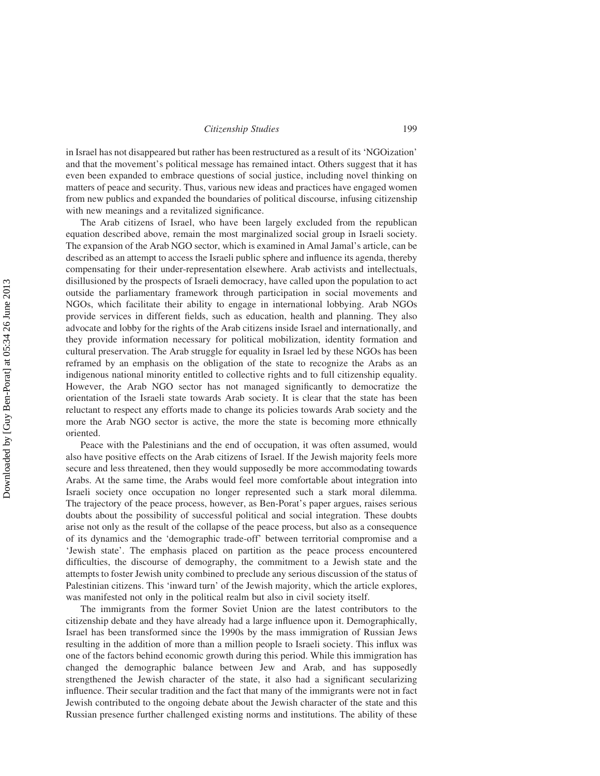in Israel has not disappeared but rather has been restructured as a result of its 'NGOization' and that the movement's political message has remained intact. Others suggest that it has even been expanded to embrace questions of social justice, including novel thinking on matters of peace and security. Thus, various new ideas and practices have engaged women from new publics and expanded the boundaries of political discourse, infusing citizenship with new meanings and a revitalized significance.

The Arab citizens of Israel, who have been largely excluded from the republican equation described above, remain the most marginalized social group in Israeli society. The expansion of the Arab NGO sector, which is examined in Amal Jamal's article, can be described as an attempt to access the Israeli public sphere and influence its agenda, thereby compensating for their under-representation elsewhere. Arab activists and intellectuals, disillusioned by the prospects of Israeli democracy, have called upon the population to act outside the parliamentary framework through participation in social movements and NGOs, which facilitate their ability to engage in international lobbying. Arab NGOs provide services in different fields, such as education, health and planning. They also advocate and lobby for the rights of the Arab citizens inside Israel and internationally, and they provide information necessary for political mobilization, identity formation and cultural preservation. The Arab struggle for equality in Israel led by these NGOs has been reframed by an emphasis on the obligation of the state to recognize the Arabs as an indigenous national minority entitled to collective rights and to full citizenship equality. However, the Arab NGO sector has not managed significantly to democratize the orientation of the Israeli state towards Arab society. It is clear that the state has been reluctant to respect any efforts made to change its policies towards Arab society and the more the Arab NGO sector is active, the more the state is becoming more ethnically oriented.

Peace with the Palestinians and the end of occupation, it was often assumed, would also have positive effects on the Arab citizens of Israel. If the Jewish majority feels more secure and less threatened, then they would supposedly be more accommodating towards Arabs. At the same time, the Arabs would feel more comfortable about integration into Israeli society once occupation no longer represented such a stark moral dilemma. The trajectory of the peace process, however, as Ben-Porat's paper argues, raises serious doubts about the possibility of successful political and social integration. These doubts arise not only as the result of the collapse of the peace process, but also as a consequence of its dynamics and the 'demographic trade-off' between territorial compromise and a 'Jewish state'. The emphasis placed on partition as the peace process encountered difficulties, the discourse of demography, the commitment to a Jewish state and the attempts to foster Jewish unity combined to preclude any serious discussion of the status of Palestinian citizens. This 'inward turn' of the Jewish majority, which the article explores, was manifested not only in the political realm but also in civil society itself.

The immigrants from the former Soviet Union are the latest contributors to the citizenship debate and they have already had a large influence upon it. Demographically, Israel has been transformed since the 1990s by the mass immigration of Russian Jews resulting in the addition of more than a million people to Israeli society. This influx was one of the factors behind economic growth during this period. While this immigration has changed the demographic balance between Jew and Arab, and has supposedly strengthened the Jewish character of the state, it also had a significant secularizing influence. Their secular tradition and the fact that many of the immigrants were not in fact Jewish contributed to the ongoing debate about the Jewish character of the state and this Russian presence further challenged existing norms and institutions. The ability of these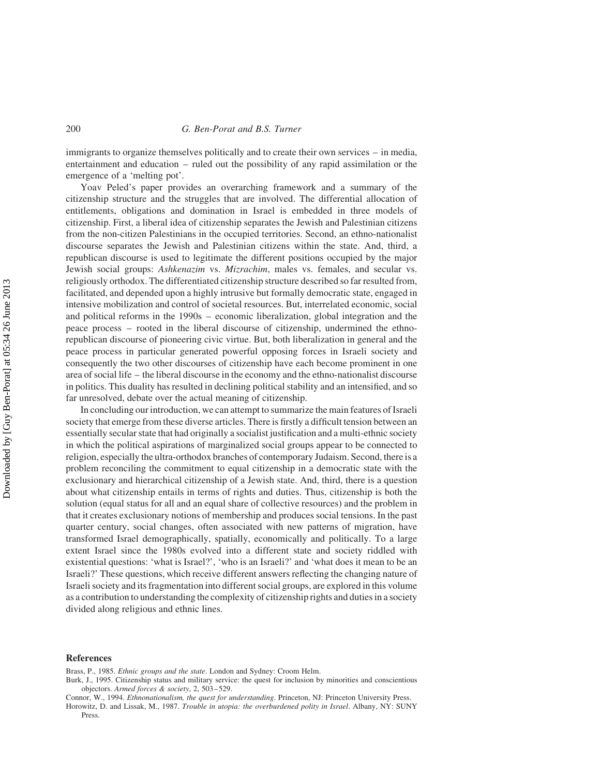### 200 G. Ben-Porat and B.S. Turner

immigrants to organize themselves politically and to create their own services – in media, entertainment and education – ruled out the possibility of any rapid assimilation or the emergence of a 'melting pot'.

Yoav Peled's paper provides an overarching framework and a summary of the citizenship structure and the struggles that are involved. The differential allocation of entitlements, obligations and domination in Israel is embedded in three models of citizenship. First, a liberal idea of citizenship separates the Jewish and Palestinian citizens from the non-citizen Palestinians in the occupied territories. Second, an ethno-nationalist discourse separates the Jewish and Palestinian citizens within the state. And, third, a republican discourse is used to legitimate the different positions occupied by the major Jewish social groups: *Ashkenazim* vs. *Mizrachim*, males vs. females, and secular vs. religiously orthodox. The differentiated citizenship structure described so far resulted from, facilitated, and depended upon a highly intrusive but formally democratic state, engaged in intensive mobilization and control of societal resources. But, interrelated economic, social and political reforms in the 1990s – economic liberalization, global integration and the peace process – rooted in the liberal discourse of citizenship, undermined the ethnorepublican discourse of pioneering civic virtue. But, both liberalization in general and the peace process in particular generated powerful opposing forces in Israeli society and consequently the two other discourses of citizenship have each become prominent in one area of social life – the liberal discourse in the economy and the ethno-nationalist discourse in politics. This duality has resulted in declining political stability and an intensified, and so far unresolved, debate over the actual meaning of citizenship.

In concluding our introduction, we can attempt to summarize the main features of Israeli society that emerge from these diverse articles. There is firstly a difficult tension between an essentially secular state that had originally a socialist justification and a multi-ethnic society in which the political aspirations of marginalized social groups appear to be connected to religion, especially the ultra-orthodox branches of contemporary Judaism. Second, there is a problem reconciling the commitment to equal citizenship in a democratic state with the exclusionary and hierarchical citizenship of a Jewish state. And, third, there is a question about what citizenship entails in terms of rights and duties. Thus, citizenship is both the solution (equal status for all and an equal share of collective resources) and the problem in that it creates exclusionary notions of membership and produces social tensions. In the past quarter century, social changes, often associated with new patterns of migration, have transformed Israel demographically, spatially, economically and politically. To a large extent Israel since the 1980s evolved into a different state and society riddled with existential questions: 'what is Israel?', 'who is an Israeli?' and 'what does it mean to be an Israeli?' These questions, which receive different answers reflecting the changing nature of Israeli society and its fragmentation into different social groups, are explored in this volume as a contribution to understanding the complexity of citizenship rights and duties in a society divided along religious and ethnic lines.

#### References

Brass, P., 1985. Ethnic groups and the state. London and Sydney: Croom Helm.

- Burk, J., 1995. Citizenship status and military service: the quest for inclusion by minorities and conscientious objectors. Armed forces & society, 2, 503–529.
- Connor, W., 1994. Ethnonationalism, the quest for understanding. Princeton, NJ: Princeton University Press.

Horowitz, D. and Lissak, M., 1987. Trouble in utopia: the overburdened polity in Israel. Albany, NY: SUNY Press.